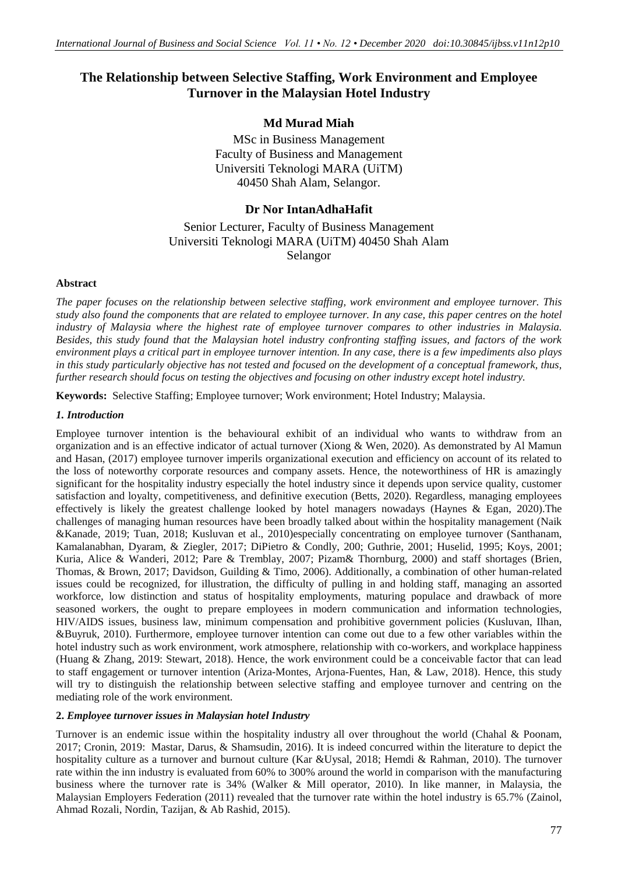# **The Relationship between Selective Staffing, Work Environment and Employee Turnover in the Malaysian Hotel Industry**

# **Md Murad Miah**

MSc in Business Management Faculty of Business and Management Universiti Teknologi MARA (UiTM) 40450 Shah Alam, Selangor.

# **Dr Nor IntanAdhaHafit**

# Senior Lecturer, Faculty of Business Management Universiti Teknologi MARA (UiTM) 40450 Shah Alam Selangor

#### **Abstract**

*The paper focuses on the relationship between selective staffing, work environment and employee turnover. This study also found the components that are related to employee turnover. In any case, this paper centres on the hotel industry of Malaysia where the highest rate of employee turnover compares to other industries in Malaysia. Besides, this study found that the Malaysian hotel industry confronting staffing issues, and factors of the work environment plays a critical part in employee turnover intention. In any case, there is a few impediments also plays*  in this study particularly objective has not tested and focused on the development of a conceptual framework, thus, *further research should focus on testing the objectives and focusing on other industry except hotel industry.*

**Keywords:** Selective Staffing; Employee turnover; Work environment; Hotel Industry; Malaysia.

# *1. Introduction*

Employee turnover intention is the behavioural exhibit of an individual who wants to withdraw from an organization and is an effective indicator of actual turnover (Xiong & Wen, 2020). As demonstrated by Al Mamun and Hasan, (2017) employee turnover imperils organizational execution and efficiency on account of its related to the loss of noteworthy corporate resources and company assets. Hence, the noteworthiness of HR is amazingly significant for the hospitality industry especially the hotel industry since it depends upon service quality, customer satisfaction and loyalty, competitiveness, and definitive execution (Betts, 2020). Regardless, managing employees effectively is likely the greatest challenge looked by hotel managers nowadays (Haynes & Egan, 2020).The challenges of managing human resources have been broadly talked about within the hospitality management (Naik &Kanade, 2019; Tuan, 2018; Kusluvan et al., 2010)especially concentrating on employee turnover (Santhanam, Kamalanabhan, Dyaram, & Ziegler, 2017; DiPietro & Condly, 200; Guthrie, 2001; Huselid, 1995; Koys, 2001; Kuria, Alice & Wanderi, 2012; Pare & Tremblay, 2007; Pizam& Thornburg, 2000) and staff shortages (Brien, Thomas, & Brown, 2017; Davidson, Guilding & Timo, 2006). Additionally, a combination of other human-related issues could be recognized, for illustration, the difficulty of pulling in and holding staff, managing an assorted workforce, low distinction and status of hospitality employments, maturing populace and drawback of more seasoned workers, the ought to prepare employees in modern communication and information technologies, HIV/AIDS issues, business law, minimum compensation and prohibitive government policies (Kusluvan, Ilhan, &Buyruk, 2010). Furthermore, employee turnover intention can come out due to a few other variables within the hotel industry such as work environment, work atmosphere, relationship with co-workers, and workplace happiness (Huang & Zhang, 2019: Stewart, 2018). Hence, the work environment could be a conceivable factor that can lead to staff engagement or turnover intention (Ariza-Montes, Arjona-Fuentes, Han, & Law, 2018). Hence, this study will try to distinguish the relationship between selective staffing and employee turnover and centring on the mediating role of the work environment.

# **2.** *Employee turnover issues in Malaysian hotel Industry*

Turnover is an endemic issue within the hospitality industry all over throughout the world (Chahal & Poonam, 2017; Cronin, 2019: Mastar, Darus, & Shamsudin, 2016). It is indeed concurred within the literature to depict the hospitality culture as a turnover and burnout culture (Kar &Uysal, 2018; Hemdi & Rahman, 2010). The turnover rate within the inn industry is evaluated from 60% to 300% around the world in comparison with the manufacturing business where the turnover rate is 34% (Walker & Mill operator, 2010). In like manner, in Malaysia, the Malaysian Employers Federation (2011) revealed that the turnover rate within the hotel industry is 65.7% (Zainol, Ahmad Rozali, Nordin, Tazijan, & Ab Rashid, 2015).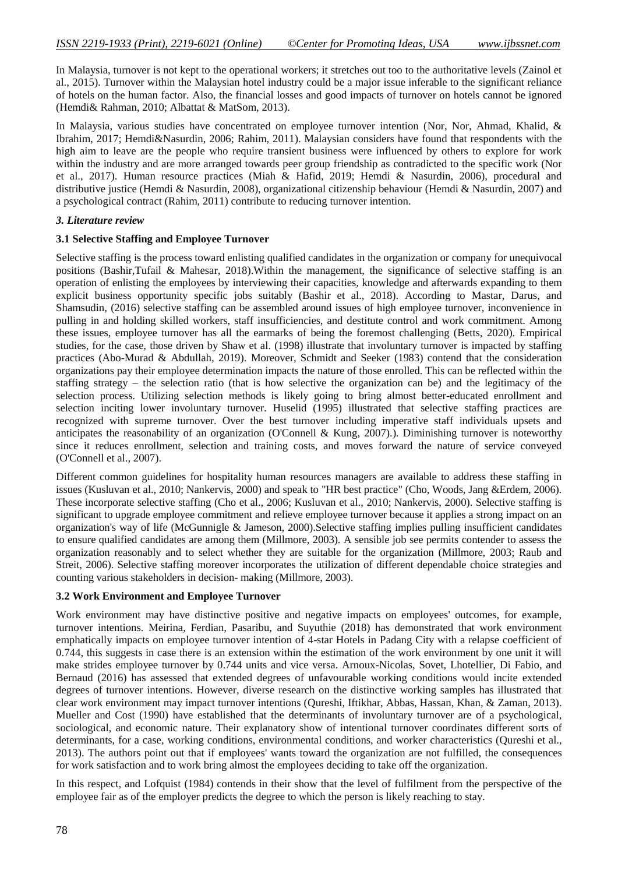In Malaysia, turnover is not kept to the operational workers; it stretches out too to the authoritative levels (Zainol et al., 2015). Turnover within the Malaysian hotel industry could be a major issue inferable to the significant reliance of hotels on the human factor. Also, the financial losses and good impacts of turnover on hotels cannot be ignored (Hemdi& Rahman, 2010; Albattat & MatSom, 2013).

In Malaysia, various studies have concentrated on employee turnover intention (Nor, Nor, Ahmad, Khalid, & Ibrahim, 2017; Hemdi&Nasurdin, 2006; Rahim, 2011). Malaysian considers have found that respondents with the high aim to leave are the people who require transient business were influenced by others to explore for work within the industry and are more arranged towards peer group friendship as contradicted to the specific work (Nor et al., 2017). Human resource practices (Miah & Hafid, 2019; Hemdi & Nasurdin, 2006), procedural and distributive justice (Hemdi & Nasurdin, 2008), organizational citizenship behaviour (Hemdi & Nasurdin, 2007) and a psychological contract (Rahim, 2011) contribute to reducing turnover intention.

# *3. Literature review*

#### **3.1 Selective Staffing and Employee Turnover**

Selective staffing is the process toward enlisting qualified candidates in the organization or company for unequivocal positions (Bashir,Tufail & Mahesar, 2018).Within the management, the significance of selective staffing is an operation of enlisting the employees by interviewing their capacities, knowledge and afterwards expanding to them explicit business opportunity specific jobs suitably (Bashir et al., 2018). According to Mastar, Darus, and Shamsudin, (2016) selective staffing can be assembled around issues of high employee turnover, inconvenience in pulling in and holding skilled workers, staff insufficiencies, and destitute control and work commitment. Among these issues, employee turnover has all the earmarks of being the foremost challenging (Betts, 2020). Empirical studies, for the case, those driven by Shaw et al. (1998) illustrate that involuntary turnover is impacted by staffing practices (Abo-Murad & Abdullah, 2019). Moreover, Schmidt and Seeker (1983) contend that the consideration organizations pay their employee determination impacts the nature of those enrolled. This can be reflected within the staffing strategy – the selection ratio (that is how selective the organization can be) and the legitimacy of the selection process. Utilizing selection methods is likely going to bring almost better-educated enrollment and selection inciting lower involuntary turnover. Huselid (1995) illustrated that selective staffing practices are recognized with supreme turnover. Over the best turnover including imperative staff individuals upsets and anticipates the reasonability of an organization (O'Connell & Kung, 2007).). Diminishing turnover is noteworthy since it reduces enrollment, selection and training costs, and moves forward the nature of service conveyed (O'Connell et al., 2007).

Different common guidelines for hospitality human resources managers are available to address these staffing in issues (Kusluvan et al., 2010; Nankervis, 2000) and speak to "HR best practice" (Cho, Woods, Jang &Erdem, 2006). These incorporate selective staffing (Cho et al., 2006; Kusluvan et al., 2010; Nankervis, 2000). Selective staffing is significant to upgrade employee commitment and relieve employee turnover because it applies a strong impact on an organization's way of life (McGunnigle & Jameson, 2000).Selective staffing implies pulling insufficient candidates to ensure qualified candidates are among them (Millmore, 2003). A sensible job see permits contender to assess the organization reasonably and to select whether they are suitable for the organization (Millmore, 2003; Raub and Streit, 2006). Selective staffing moreover incorporates the utilization of different dependable choice strategies and counting various stakeholders in decision- making (Millmore, 2003).

# **3.2 Work Environment and Employee Turnover**

Work environment may have distinctive positive and negative impacts on employees' outcomes, for example, turnover intentions. Meirina, Ferdian, Pasaribu, and Suyuthie (2018) has demonstrated that work environment emphatically impacts on employee turnover intention of 4-star Hotels in Padang City with a relapse coefficient of 0.744, this suggests in case there is an extension within the estimation of the work environment by one unit it will make strides employee turnover by 0.744 units and vice versa. Arnoux-Nicolas, Sovet, Lhotellier, Di Fabio, and Bernaud (2016) has assessed that extended degrees of unfavourable working conditions would incite extended degrees of turnover intentions. However, diverse research on the distinctive working samples has illustrated that clear work environment may impact turnover intentions (Qureshi, Iftikhar, Abbas, Hassan, Khan, & Zaman, 2013). Mueller and Cost (1990) have established that the determinants of involuntary turnover are of a psychological, sociological, and economic nature. Their explanatory show of intentional turnover coordinates different sorts of determinants, for a case, working conditions, environmental conditions, and worker characteristics (Qureshi et al., 2013). The authors point out that if employees' wants toward the organization are not fulfilled, the consequences for work satisfaction and to work bring almost the employees deciding to take off the organization.

In this respect, and Lofquist (1984) contends in their show that the level of fulfilment from the perspective of the employee fair as of the employer predicts the degree to which the person is likely reaching to stay.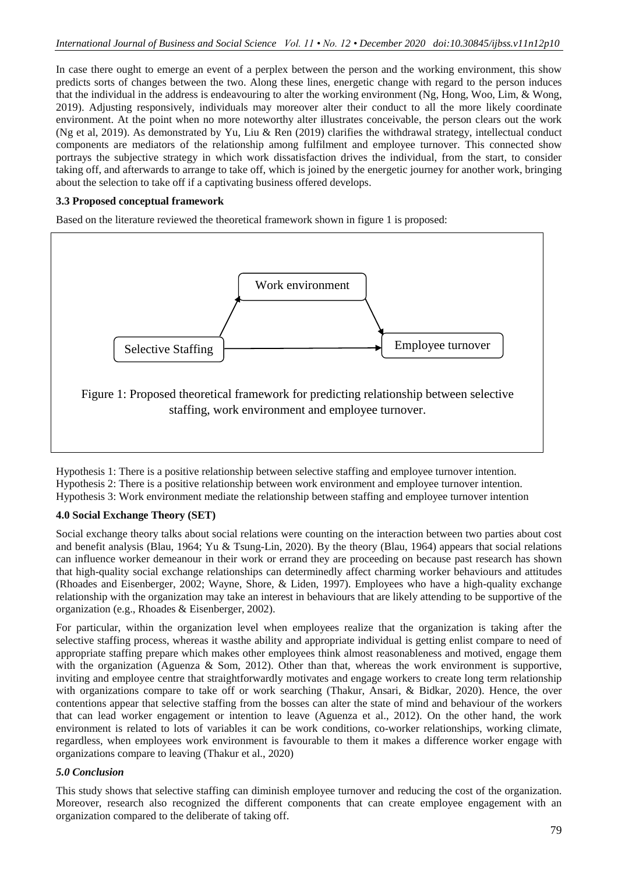In case there ought to emerge an event of a perplex between the person and the working environment, this show predicts sorts of changes between the two. Along these lines, energetic change with regard to the person induces that the individual in the address is endeavouring to alter the working environment (Ng, Hong, Woo, Lim, & Wong, 2019). Adjusting responsively, individuals may moreover alter their conduct to all the more likely coordinate environment. At the point when no more noteworthy alter illustrates conceivable, the person clears out the work (Ng et al, 2019). As demonstrated by Yu, Liu & Ren (2019) clarifies the withdrawal strategy, intellectual conduct components are mediators of the relationship among fulfilment and employee turnover. This connected show portrays the subjective strategy in which work dissatisfaction drives the individual, from the start, to consider taking off, and afterwards to arrange to take off, which is joined by the energetic journey for another work, bringing about the selection to take off if a captivating business offered develops.

# **3.3 Proposed conceptual framework**

Based on the literature reviewed the theoretical framework shown in figure 1 is proposed:



Hypothesis 1: There is a positive relationship between selective staffing and employee turnover intention. Hypothesis 2: There is a positive relationship between work environment and employee turnover intention. Hypothesis 3: Work environment mediate the relationship between staffing and employee turnover intention

# **4.0 Social Exchange Theory (SET)**

Social exchange theory talks about social relations were counting on the interaction between two parties about cost and benefit analysis (Blau, 1964; Yu & Tsung-Lin, 2020). By the theory (Blau, 1964) appears that social relations can influence worker demeanour in their work or errand they are proceeding on because past research has shown that high-quality social exchange relationships can determinedly affect charming worker behaviours and attitudes (Rhoades and Eisenberger, 2002; Wayne, Shore, & Liden, 1997). Employees who have a high-quality exchange relationship with the organization may take an interest in behaviours that are likely attending to be supportive of the organization (e.g., Rhoades & Eisenberger, 2002).

For particular, within the organization level when employees realize that the organization is taking after the selective staffing process, whereas it wasthe ability and appropriate individual is getting enlist compare to need of appropriate staffing prepare which makes other employees think almost reasonableness and motived, engage them with the organization (Aguenza & Som, 2012). Other than that, whereas the work environment is supportive, inviting and employee centre that straightforwardly motivates and engage workers to create long term relationship with organizations compare to take off or work searching (Thakur, Ansari, & Bidkar, 2020). Hence, the over contentions appear that selective staffing from the bosses can alter the state of mind and behaviour of the workers that can lead worker engagement or intention to leave (Aguenza et al., 2012). On the other hand, the work environment is related to lots of variables it can be work conditions, co-worker relationships, working climate, regardless, when employees work environment is favourable to them it makes a difference worker engage with organizations compare to leaving (Thakur et al., 2020)

# *5.0 Conclusion*

This study shows that selective staffing can diminish employee turnover and reducing the cost of the organization. Moreover, research also recognized the different components that can create employee engagement with an organization compared to the deliberate of taking off.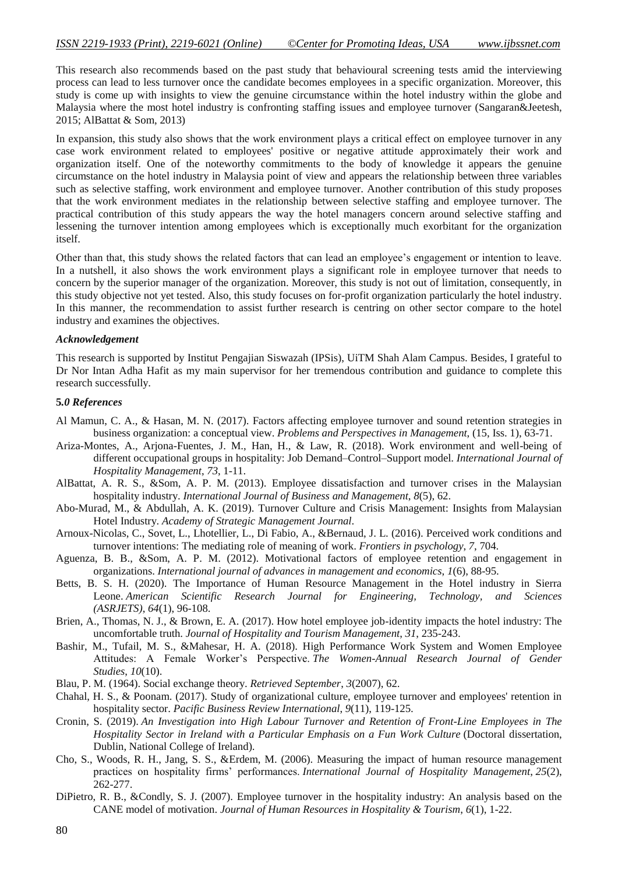This research also recommends based on the past study that behavioural screening tests amid the interviewing process can lead to less turnover once the candidate becomes employees in a specific organization. Moreover, this study is come up with insights to view the genuine circumstance within the hotel industry within the globe and Malaysia where the most hotel industry is confronting staffing issues and employee turnover (Sangaran&Jeetesh, 2015; AlBattat & Som, 2013)

In expansion, this study also shows that the work environment plays a critical effect on employee turnover in any case work environment related to employees' positive or negative attitude approximately their work and organization itself. One of the noteworthy commitments to the body of knowledge it appears the genuine circumstance on the hotel industry in Malaysia point of view and appears the relationship between three variables such as selective staffing, work environment and employee turnover. Another contribution of this study proposes that the work environment mediates in the relationship between selective staffing and employee turnover. The practical contribution of this study appears the way the hotel managers concern around selective staffing and lessening the turnover intention among employees which is exceptionally much exorbitant for the organization itself.

Other than that, this study shows the related factors that can lead an employee's engagement or intention to leave. In a nutshell, it also shows the work environment plays a significant role in employee turnover that needs to concern by the superior manager of the organization. Moreover, this study is not out of limitation, consequently, in this study objective not yet tested. Also, this study focuses on for-profit organization particularly the hotel industry. In this manner, the recommendation to assist further research is centring on other sector compare to the hotel industry and examines the objectives.

#### *Acknowledgement*

This research is supported by Institut Pengajian Siswazah (IPSis), UiTM Shah Alam Campus. Besides, I grateful to Dr Nor Intan Adha Hafit as my main supervisor for her tremendous contribution and guidance to complete this research successfully.

#### **5***.0 References*

- Al Mamun, C. A., & Hasan, M. N. (2017). Factors affecting employee turnover and sound retention strategies in business organization: a conceptual view. *Problems and Perspectives in Management*, (15, Iss. 1), 63-71.
- Ariza-Montes, A., Arjona-Fuentes, J. M., Han, H., & Law, R. (2018). Work environment and well-being of different occupational groups in hospitality: Job Demand–Control–Support model. *International Journal of Hospitality Management*, *73*, 1-11.
- AlBattat, A. R. S., &Som, A. P. M. (2013). Employee dissatisfaction and turnover crises in the Malaysian hospitality industry. *International Journal of Business and Management*, *8*(5), 62.
- Abo-Murad, M., & Abdullah, A. K. (2019). Turnover Culture and Crisis Management: Insights from Malaysian Hotel Industry. *Academy of Strategic Management Journal*.
- Arnoux-Nicolas, C., Sovet, L., Lhotellier, L., Di Fabio, A., &Bernaud, J. L. (2016). Perceived work conditions and turnover intentions: The mediating role of meaning of work. *Frontiers in psychology*, *7*, 704.
- Aguenza, B. B., &Som, A. P. M. (2012). Motivational factors of employee retention and engagement in organizations. *International journal of advances in management and economics*, *1*(6), 88-95.
- Betts, B. S. H. (2020). The Importance of Human Resource Management in the Hotel industry in Sierra Leone. *American Scientific Research Journal for Engineering, Technology, and Sciences (ASRJETS)*, *64*(1), 96-108.
- Brien, A., Thomas, N. J., & Brown, E. A. (2017). How hotel employee job-identity impacts the hotel industry: The uncomfortable truth. *Journal of Hospitality and Tourism Management*, *31*, 235-243.
- Bashir, M., Tufail, M. S., &Mahesar, H. A. (2018). High Performance Work System and Women Employee Attitudes: A Female Worker's Perspective. *The Women-Annual Research Journal of Gender Studies*, *10*(10).
- Blau, P. M. (1964). Social exchange theory. *Retrieved September*, *3*(2007), 62.
- Chahal, H. S., & Poonam. (2017). Study of organizational culture, employee turnover and employees' retention in hospitality sector. *Pacific Business Review International*, *9*(11), 119-125.
- Cronin, S. (2019). *An Investigation into High Labour Turnover and Retention of Front-Line Employees in The Hospitality Sector in Ireland with a Particular Emphasis on a Fun Work Culture* (Doctoral dissertation, Dublin, National College of Ireland).
- Cho, S., Woods, R. H., Jang, S. S., &Erdem, M. (2006). Measuring the impact of human resource management practices on hospitality firms' performances. *International Journal of Hospitality Management*, *25*(2), 262-277.
- DiPietro, R. B., &Condly, S. J. (2007). Employee turnover in the hospitality industry: An analysis based on the CANE model of motivation. *Journal of Human Resources in Hospitality & Tourism*, *6*(1), 1-22.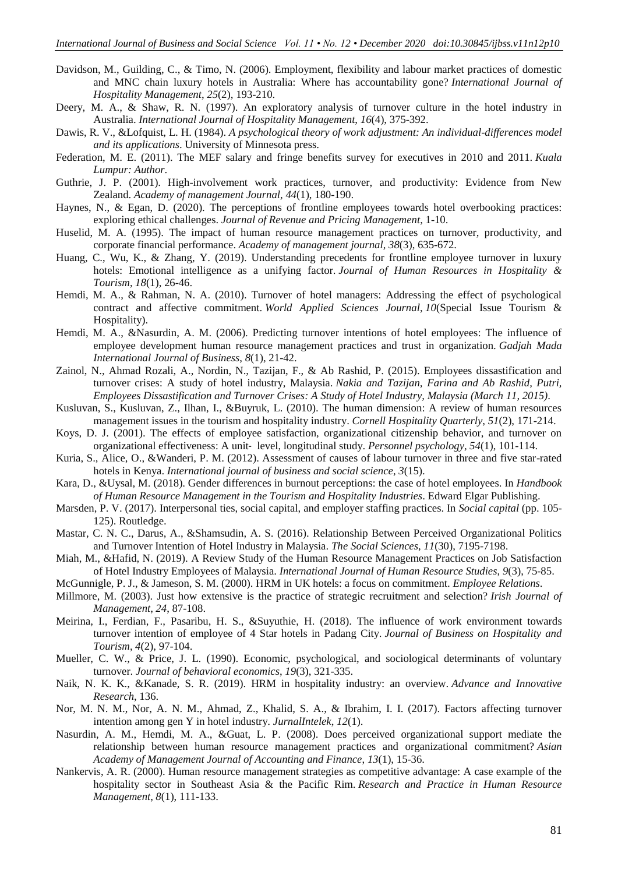- Davidson, M., Guilding, C., & Timo, N. (2006). Employment, flexibility and labour market practices of domestic and MNC chain luxury hotels in Australia: Where has accountability gone? *International Journal of Hospitality Management*, *25*(2), 193-210.
- Deery, M. A., & Shaw, R. N. (1997). An exploratory analysis of turnover culture in the hotel industry in Australia. *International Journal of Hospitality Management*, *16*(4), 375-392.
- Dawis, R. V., &Lofquist, L. H. (1984). *A psychological theory of work adjustment: An individual-differences model and its applications*. University of Minnesota press.
- Federation, M. E. (2011). The MEF salary and fringe benefits survey for executives in 2010 and 2011. *Kuala Lumpur: Author*.
- Guthrie, J. P. (2001). High-involvement work practices, turnover, and productivity: Evidence from New Zealand. *Academy of management Journal*, *44*(1), 180-190.
- Haynes, N., & Egan, D. (2020). The perceptions of frontline employees towards hotel overbooking practices: exploring ethical challenges. *Journal of Revenue and Pricing Management*, 1-10.
- Huselid, M. A. (1995). The impact of human resource management practices on turnover, productivity, and corporate financial performance. *Academy of management journal*, *38*(3), 635-672.
- Huang, C., Wu, K., & Zhang, Y. (2019). Understanding precedents for frontline employee turnover in luxury hotels: Emotional intelligence as a unifying factor. *Journal of Human Resources in Hospitality & Tourism*, *18*(1), 26-46.
- Hemdi, M. A., & Rahman, N. A. (2010). Turnover of hotel managers: Addressing the effect of psychological contract and affective commitment. *World Applied Sciences Journal*, *10*(Special Issue Tourism & Hospitality).
- Hemdi, M. A., &Nasurdin, A. M. (2006). Predicting turnover intentions of hotel employees: The influence of employee development human resource management practices and trust in organization. *Gadjah Mada International Journal of Business*, *8*(1), 21-42.
- Zainol, N., Ahmad Rozali, A., Nordin, N., Tazijan, F., & Ab Rashid, P. (2015). Employees dissastification and turnover crises: A study of hotel industry, Malaysia. *Nakia and Tazijan, Farina and Ab Rashid, Putri, Employees Dissastification and Turnover Crises: A Study of Hotel Industry, Malaysia (March 11, 2015)*.
- Kusluvan, S., Kusluvan, Z., Ilhan, I., &Buyruk, L. (2010). The human dimension: A review of human resources management issues in the tourism and hospitality industry. *Cornell Hospitality Quarterly*, *51*(2), 171-214.
- Koys, D. J. (2001). The effects of employee satisfaction, organizational citizenship behavior, and turnover on organizational effectiveness: A unit‐ level, longitudinal study. *Personnel psychology*, *54*(1), 101-114.
- Kuria, S., Alice, O., &Wanderi, P. M. (2012). Assessment of causes of labour turnover in three and five star-rated hotels in Kenya. *International journal of business and social science*, *3*(15).
- Kara, D., &Uysal, M. (2018). Gender differences in burnout perceptions: the case of hotel employees. In *Handbook of Human Resource Management in the Tourism and Hospitality Industries*. Edward Elgar Publishing.
- Marsden, P. V. (2017). Interpersonal ties, social capital, and employer staffing practices. In *Social capital* (pp. 105- 125). Routledge.
- Mastar, C. N. C., Darus, A., &Shamsudin, A. S. (2016). Relationship Between Perceived Organizational Politics and Turnover Intention of Hotel Industry in Malaysia. *The Social Sciences*, *11*(30), 7195-7198.
- Miah, M., &Hafid, N. (2019). A Review Study of the Human Resource Management Practices on Job Satisfaction of Hotel Industry Employees of Malaysia. *International Journal of Human Resource Studies*, *9*(3), 75-85.
- McGunnigle, P. J., & Jameson, S. M. (2000). HRM in UK hotels: a focus on commitment. *Employee Relations*.
- Millmore, M. (2003). Just how extensive is the practice of strategic recruitment and selection? *Irish Journal of Management*, *24*, 87-108.
- Meirina, I., Ferdian, F., Pasaribu, H. S., &Suyuthie, H. (2018). The influence of work environment towards turnover intention of employee of 4 Star hotels in Padang City. *Journal of Business on Hospitality and Tourism*, *4*(2), 97-104.
- Mueller, C. W., & Price, J. L. (1990). Economic, psychological, and sociological determinants of voluntary turnover. *Journal of behavioral economics*, *19*(3), 321-335.
- Naik, N. K. K., &Kanade, S. R. (2019). HRM in hospitality industry: an overview. *Advance and Innovative Research*, 136.
- Nor, M. N. M., Nor, A. N. M., Ahmad, Z., Khalid, S. A., & Ibrahim, I. I. (2017). Factors affecting turnover intention among gen Y in hotel industry. *JurnalIntelek*, *12*(1).
- Nasurdin, A. M., Hemdi, M. A., &Guat, L. P. (2008). Does perceived organizational support mediate the relationship between human resource management practices and organizational commitment? *Asian Academy of Management Journal of Accounting and Finance*, *13*(1), 15-36.
- Nankervis, A. R. (2000). Human resource management strategies as competitive advantage: A case example of the hospitality sector in Southeast Asia & the Pacific Rim. *Research and Practice in Human Resource Management*, *8*(1), 111-133.